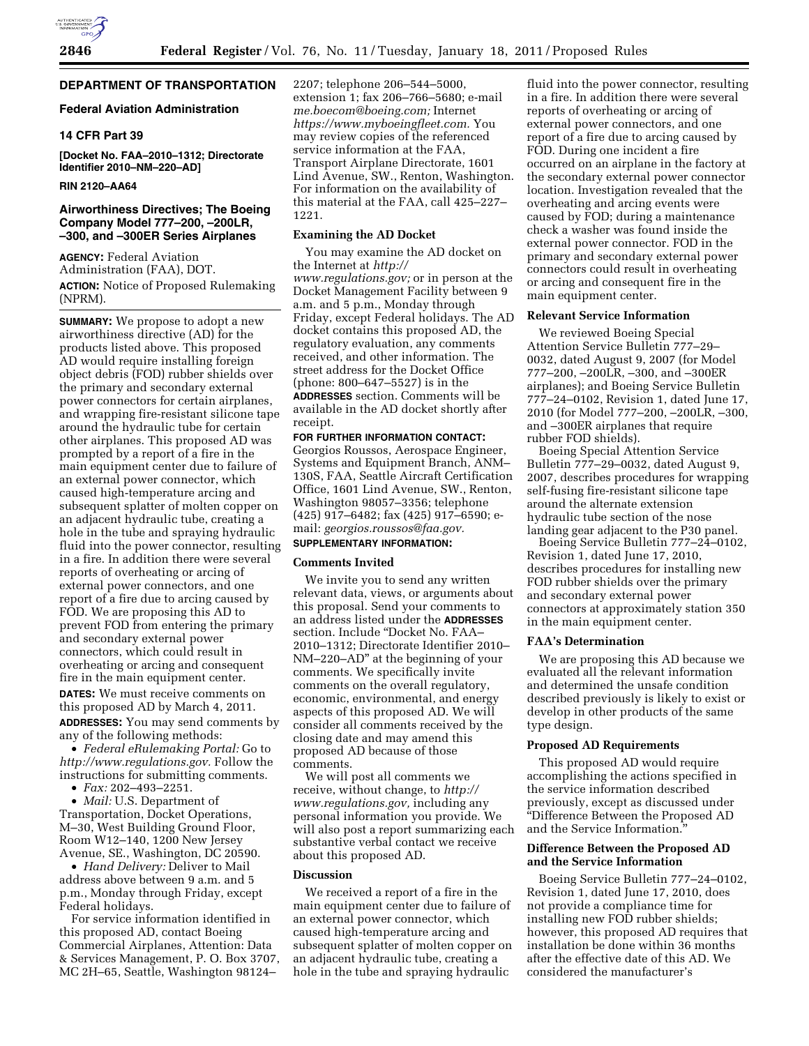# **DEPARTMENT OF TRANSPORTATION**

# **Federal Aviation Administration**

### **14 CFR Part 39**

**[Docket No. FAA–2010–1312; Directorate Identifier 2010–NM–220–AD]** 

### **RIN 2120–AA64**

# **Airworthiness Directives; The Boeing Company Model 777–200, –200LR, –300, and –300ER Series Airplanes**

**AGENCY:** Federal Aviation Administration (FAA), DOT. **ACTION:** Notice of Proposed Rulemaking (NPRM).

**SUMMARY:** We propose to adopt a new airworthiness directive (AD) for the products listed above. This proposed AD would require installing foreign object debris (FOD) rubber shields over the primary and secondary external power connectors for certain airplanes, and wrapping fire-resistant silicone tape around the hydraulic tube for certain other airplanes. This proposed AD was prompted by a report of a fire in the main equipment center due to failure of an external power connector, which caused high-temperature arcing and subsequent splatter of molten copper on an adjacent hydraulic tube, creating a hole in the tube and spraying hydraulic fluid into the power connector, resulting in a fire. In addition there were several reports of overheating or arcing of external power connectors, and one report of a fire due to arcing caused by FOD. We are proposing this AD to prevent FOD from entering the primary and secondary external power connectors, which could result in overheating or arcing and consequent fire in the main equipment center.

**DATES:** We must receive comments on this proposed AD by March 4, 2011. **ADDRESSES:** You may send comments by any of the following methods:

• *Federal eRulemaking Portal:* Go to *[http://www.regulations.gov.](http://www.regulations.gov)* Follow the instructions for submitting comments.

• *Fax:* 202–493–2251.

• *Mail:* U.S. Department of Transportation, Docket Operations, M–30, West Building Ground Floor, Room W12–140, 1200 New Jersey Avenue, SE., Washington, DC 20590.

• *Hand Delivery:* Deliver to Mail address above between 9 a.m. and 5 p.m., Monday through Friday, except Federal holidays.

For service information identified in this proposed AD, contact Boeing Commercial Airplanes, Attention: Data & Services Management, P. O. Box 3707, MC 2H–65, Seattle, Washington 98124–

2207; telephone 206–544–5000, extension 1; fax 206–766–5680; e-mail *[me.boecom@boeing.com;](mailto:me.boecom@boeing.com)* Internet *[https://www.myboeingfleet.com.](https://www.myboeingfleet.com)* You may review copies of the referenced service information at the FAA, Transport Airplane Directorate, 1601 Lind Avenue, SW., Renton, Washington. For information on the availability of this material at the FAA, call 425–227– 1221.

# **Examining the AD Docket**

You may examine the AD docket on the Internet at *[http://](http://www.regulations.gov)  [www.regulations.gov;](http://www.regulations.gov)* or in person at the Docket Management Facility between 9 a.m. and 5 p.m., Monday through Friday, except Federal holidays. The AD docket contains this proposed AD, the regulatory evaluation, any comments received, and other information. The street address for the Docket Office (phone: 800–647–5527) is in the **ADDRESSES** section. Comments will be available in the AD docket shortly after receipt.

# **FOR FURTHER INFORMATION CONTACT:**

Georgios Roussos, Aerospace Engineer, Systems and Equipment Branch, ANM– 130S, FAA, Seattle Aircraft Certification Office, 1601 Lind Avenue, SW., Renton, Washington 98057–3356; telephone (425) 917–6482; fax (425) 917–6590; email: *[georgios.roussos@faa.gov.](mailto:georgios.roussos@faa.gov)* 

# **SUPPLEMENTARY INFORMATION:**

# **Comments Invited**

We invite you to send any written relevant data, views, or arguments about this proposal. Send your comments to an address listed under the **ADDRESSES** section. Include "Docket No. FAA-2010–1312; Directorate Identifier 2010– NM–220–AD'' at the beginning of your comments. We specifically invite comments on the overall regulatory, economic, environmental, and energy aspects of this proposed AD. We will consider all comments received by the closing date and may amend this proposed AD because of those comments.

We will post all comments we receive, without change, to *[http://](http://www.regulations.gov) [www.regulations.gov,](http://www.regulations.gov)* including any personal information you provide. We will also post a report summarizing each substantive verbal contact we receive about this proposed AD.

# **Discussion**

We received a report of a fire in the main equipment center due to failure of an external power connector, which caused high-temperature arcing and subsequent splatter of molten copper on an adjacent hydraulic tube, creating a hole in the tube and spraying hydraulic

fluid into the power connector, resulting in a fire. In addition there were several reports of overheating or arcing of external power connectors, and one report of a fire due to arcing caused by FOD. During one incident a fire occurred on an airplane in the factory at the secondary external power connector location. Investigation revealed that the overheating and arcing events were caused by FOD; during a maintenance check a washer was found inside the external power connector. FOD in the primary and secondary external power connectors could result in overheating or arcing and consequent fire in the main equipment center.

#### **Relevant Service Information**

We reviewed Boeing Special Attention Service Bulletin 777–29– 0032, dated August 9, 2007 (for Model 777–200, –200LR, –300, and –300ER airplanes); and Boeing Service Bulletin 777–24–0102, Revision 1, dated June 17, 2010 (for Model 777–200, –200LR, –300, and –300ER airplanes that require rubber FOD shields).

Boeing Special Attention Service Bulletin 777–29–0032, dated August 9, 2007, describes procedures for wrapping self-fusing fire-resistant silicone tape around the alternate extension hydraulic tube section of the nose landing gear adjacent to the P30 panel.

Boeing Service Bulletin 777–24–0102, Revision 1, dated June 17, 2010, describes procedures for installing new FOD rubber shields over the primary and secondary external power connectors at approximately station 350 in the main equipment center.

### **FAA's Determination**

We are proposing this AD because we evaluated all the relevant information and determined the unsafe condition described previously is likely to exist or develop in other products of the same type design.

#### **Proposed AD Requirements**

This proposed AD would require accomplishing the actions specified in the service information described previously, except as discussed under ''Difference Between the Proposed AD and the Service Information.''

### **Difference Between the Proposed AD and the Service Information**

Boeing Service Bulletin 777–24–0102, Revision 1, dated June 17, 2010, does not provide a compliance time for installing new FOD rubber shields; however, this proposed AD requires that installation be done within 36 months after the effective date of this AD. We considered the manufacturer's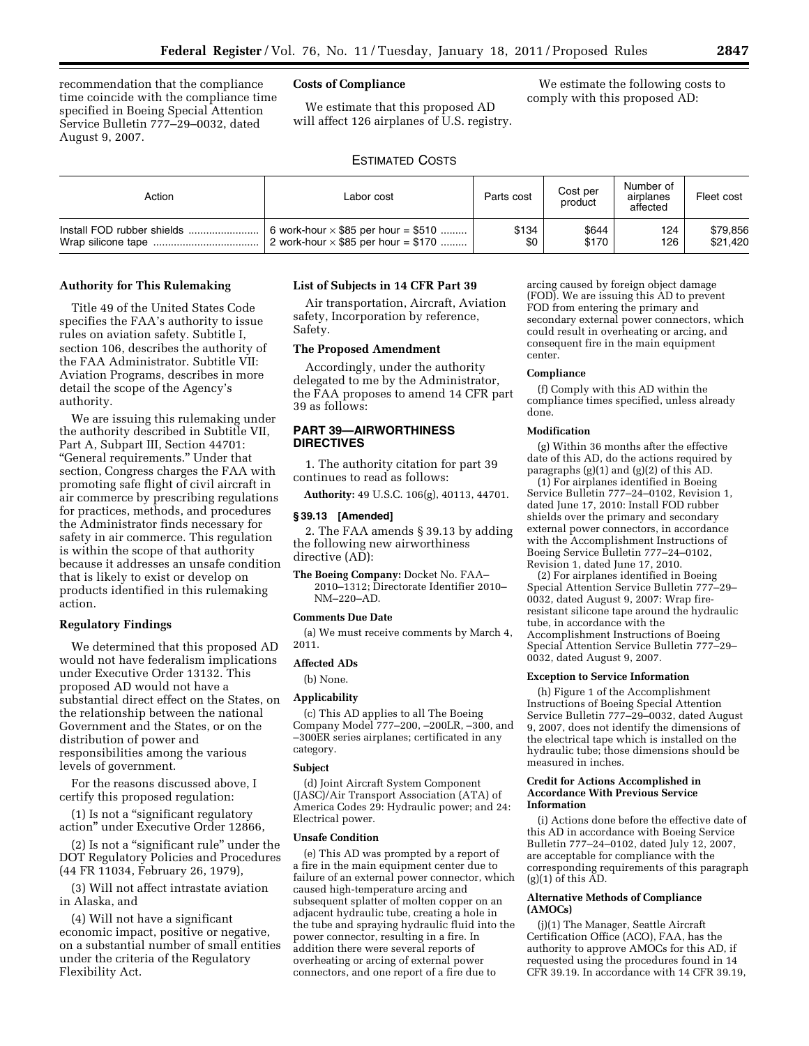recommendation that the compliance time coincide with the compliance time specified in Boeing Special Attention Service Bulletin 777–29–0032, dated August 9, 2007.

# **Costs of Compliance**

We estimate that this proposed AD will affect 126 airplanes of U.S. registry.

We estimate the following costs to comply with this proposed AD:

# ESTIMATED COSTS

| Action                     | Labor cost                                 | Parts cost | Cost per<br>product | Number of<br>airplanes<br>affected | Fleet cost |
|----------------------------|--------------------------------------------|------------|---------------------|------------------------------------|------------|
| Install FOD rubber shields | 6 work-hour $\times$ \$85 per hour = \$510 | \$134      | \$644               | 124                                | \$79,856   |
|                            | 2 work-hour $\times$ \$85 per hour = \$170 | \$0        | \$170               | 126                                | \$21.420   |

#### **Authority for This Rulemaking**

Title 49 of the United States Code specifies the FAA's authority to issue rules on aviation safety. Subtitle I, section 106, describes the authority of the FAA Administrator. Subtitle VII: Aviation Programs, describes in more detail the scope of the Agency's authority.

We are issuing this rulemaking under the authority described in Subtitle VII, Part A, Subpart III, Section 44701: ''General requirements.'' Under that section, Congress charges the FAA with promoting safe flight of civil aircraft in air commerce by prescribing regulations for practices, methods, and procedures the Administrator finds necessary for safety in air commerce. This regulation is within the scope of that authority because it addresses an unsafe condition that is likely to exist or develop on products identified in this rulemaking action.

### **Regulatory Findings**

We determined that this proposed AD would not have federalism implications under Executive Order 13132. This proposed AD would not have a substantial direct effect on the States, on the relationship between the national Government and the States, or on the distribution of power and responsibilities among the various levels of government.

For the reasons discussed above, I certify this proposed regulation:

(1) Is not a ''significant regulatory action'' under Executive Order 12866,

(2) Is not a ''significant rule'' under the DOT Regulatory Policies and Procedures (44 FR 11034, February 26, 1979),

(3) Will not affect intrastate aviation in Alaska, and

(4) Will not have a significant economic impact, positive or negative, on a substantial number of small entities under the criteria of the Regulatory Flexibility Act.

### **List of Subjects in 14 CFR Part 39**

Air transportation, Aircraft, Aviation safety, Incorporation by reference, Safety.

# **The Proposed Amendment**

Accordingly, under the authority delegated to me by the Administrator, the FAA proposes to amend 14 CFR part 39 as follows:

# **PART 39—AIRWORTHINESS DIRECTIVES**

1. The authority citation for part 39 continues to read as follows:

**Authority:** 49 U.S.C. 106(g), 40113, 44701.

# **§ 39.13 [Amended]**

2. The FAA amends § 39.13 by adding the following new airworthiness directive (AD):

**The Boeing Company:** Docket No. FAA– 2010–1312; Directorate Identifier 2010– NM–220–AD.

### **Comments Due Date**

(a) We must receive comments by March 4, 2011.

# **Affected ADs**

(b) None.

# **Applicability**

(c) This AD applies to all The Boeing Company Model 777–200, –200LR, –300, and –300ER series airplanes; certificated in any category.

#### **Subject**

(d) Joint Aircraft System Component (JASC)/Air Transport Association (ATA) of America Codes 29: Hydraulic power; and 24: Electrical power.

#### **Unsafe Condition**

(e) This AD was prompted by a report of a fire in the main equipment center due to failure of an external power connector, which caused high-temperature arcing and subsequent splatter of molten copper on an adjacent hydraulic tube, creating a hole in the tube and spraying hydraulic fluid into the power connector, resulting in a fire. In addition there were several reports of overheating or arcing of external power connectors, and one report of a fire due to

arcing caused by foreign object damage (FOD). We are issuing this AD to prevent FOD from entering the primary and secondary external power connectors, which could result in overheating or arcing, and consequent fire in the main equipment center.

#### **Compliance**

(f) Comply with this AD within the compliance times specified, unless already done.

#### **Modification**

(g) Within 36 months after the effective date of this AD, do the actions required by paragraphs  $(g)(1)$  and  $(g)(2)$  of this AD.

(1) For airplanes identified in Boeing Service Bulletin 777–24–0102, Revision 1, dated June 17, 2010: Install FOD rubber shields over the primary and secondary external power connectors, in accordance with the Accomplishment Instructions of Boeing Service Bulletin 777–24–0102, Revision 1, dated June 17, 2010.

(2) For airplanes identified in Boeing Special Attention Service Bulletin 777–29– 0032, dated August 9, 2007: Wrap fireresistant silicone tape around the hydraulic tube, in accordance with the Accomplishment Instructions of Boeing Special Attention Service Bulletin 777–29– 0032, dated August 9, 2007.

#### **Exception to Service Information**

(h) Figure 1 of the Accomplishment Instructions of Boeing Special Attention Service Bulletin 777–29–0032, dated August 9, 2007, does not identify the dimensions of the electrical tape which is installed on the hydraulic tube; those dimensions should be measured in inches.

#### **Credit for Actions Accomplished in Accordance With Previous Service Information**

(i) Actions done before the effective date of this AD in accordance with Boeing Service Bulletin 777–24–0102, dated July 12, 2007, are acceptable for compliance with the corresponding requirements of this paragraph  $(g)(1)$  of this AD.

#### **Alternative Methods of Compliance (AMOCs)**

(j)(1) The Manager, Seattle Aircraft Certification Office (ACO), FAA, has the authority to approve AMOCs for this AD, if requested using the procedures found in 14 CFR 39.19. In accordance with 14 CFR 39.19,